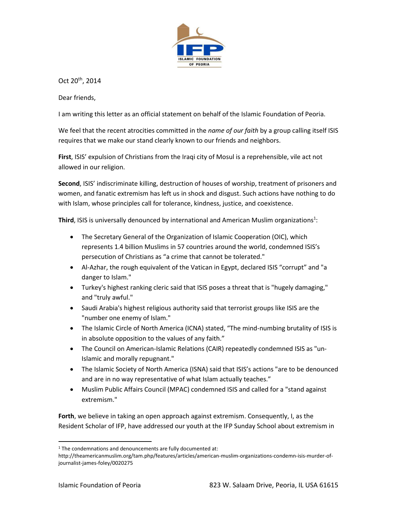

Oct 20th, 2014

Dear friends,

I am writing this letter as an official statement on behalf of the Islamic Foundation of Peoria.

We feel that the recent atrocities committed in the *name of our faith* by a group calling itself ISIS requires that we make our stand clearly known to our friends and neighbors.

**First**, ISIS' expulsion of Christians from the Iraqi city of Mosul is a reprehensible, vile act not allowed in our religion.

**Second**, ISIS' indiscriminate killing, destruction of houses of worship, treatment of prisoners and women, and fanatic extremism has left us in shock and disgust. Such actions have nothing to do with Islam, whose principles call for tolerance, kindness, justice, and coexistence.

Third, ISIS is universally denounced by international and American Muslim organizations<sup>1</sup>:

- The Secretary General of the Organization of Islamic Cooperation (OIC), which represents 1.4 billion Muslims in 57 countries around the world, condemned ISIS's persecution of Christians as "a crime that cannot be tolerated."
- Al-Azhar, the rough equivalent of the Vatican in Egypt, declared ISIS "corrupt" and "a danger to Islam."
- Turkey's highest ranking cleric said that ISIS poses a threat that is "hugely damaging," and "truly awful."
- Saudi Arabia's highest religious authority said that terrorist groups like ISIS are the "number one enemy of Islam."
- The Islamic Circle of North America (ICNA) stated, "The mind-numbing brutality of ISIS is in absolute opposition to the values of any faith."
- The Council on American-Islamic Relations (CAIR) repeatedly condemned ISIS as "un-Islamic and morally repugnant."
- The Islamic Society of North America (ISNA) said that ISIS's actions "are to be denounced and are in no way representative of what Islam actually teaches."
- Muslim Public Affairs Council (MPAC) condemned ISIS and called for a "stand against extremism."

**Forth**, we believe in taking an open approach against extremism. Consequently, I, as the Resident Scholar of IFP, have addressed our youth at the IFP Sunday School about extremism in

l

 $1$  The condemnations and denouncements are fully documented at:

http://theamericanmuslim.org/tam.php/features/articles/american-muslim-organizations-condemn-isis-murder-ofjournalist-james-foley/0020275